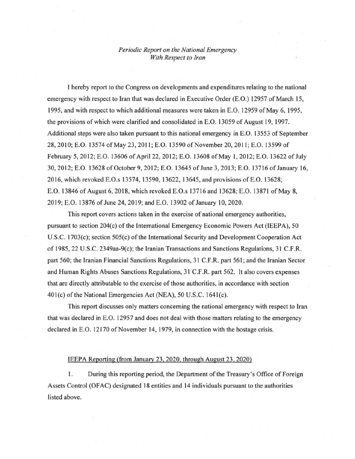## *Periodic Reporl on the Nalionai Emergency With Respect to Iran*

1 hereby report to the Congress on developments and expenditures relating to the national emergency with respect to Iran that was declared in Executive Order (E.O.) 12957 of March 15, 1995, and with respect to which additional measures were taken in E.O. 12959 of May 6, 1995, the provisions of which were clarified and consolidated in E.O. 13059 of August 19, 1997. Additional steps were also taken pursuant to this national emergency in E.O. 13553 of September 28, 2010; E.O. 13574 of May 23, 2011; E.O. 13590 of November 20, 2011; E.O. 13599 of February 5, 2012; E.O. 13606 of April 22, 2012; E.O. 13608 of May 1, 2012; E.O. 13622 of July 30,2012; E.O. 13628 ofOctober 9,2012; E.O. 13645 of June 3, 2013; E.O. 13716 of January 16, 20 16, which revoked E.O.s 13574, 13590, 13622, 13645, and provisions of E.O. 13628; E.O. 13846 of August 6, 2018, which revoked E.O.s 13716 and 13628; E.O. 13871 of May 8, 20 19; E.O. 13876 of June 24, 2019; and E.O. 13902 of January 10, 2020.

This report covers actions taken in the exercise of national emergency authorities, pursuant to section 204(c) of the International Emergency Economic Powers Act (IEEPA), 50 U.S.C. 1703(c); section 505(c) of the International Security and Development Cooperation Act of 1985, 22 U.S.C. 2349aa-9(c); the Iranian Transactions and Sanctions Regulations, 31 C.F.R. part 560; the Iranian Financial Sanctions Regulations, 31 C.F .R. part 561; and the Iranian Sector and Human Rights Abuses Sanctions Regulations, 31 C.F.R. part 562. It also covers expenses that are directly attributable to the exercise of those authorities, in accordance with section 401(c) of the National Emergencies Act (NEA), 50 U.S.C. 1641(c).

This report discusses only matters concerning the national emergency with respect to Iran that was declared in E.O. 12957 and does not deal with those matters relating to the emergency declared in E.O. 12170 of November 14, 1979, in connection with the hostage crisis.

## IEEPA Reporting (from January 23, 2020, through August 23,2020)

1. During this reporting period, the Department of the Treasury's Office of Foreign Assets Control (OFAC) designated 18 entities and 14 individuals pursuant to the authorities listed above.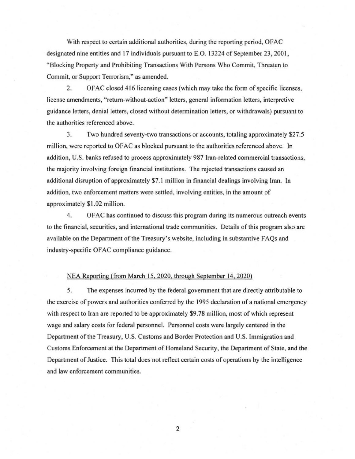With respect to certain additional authorities, during the reporting period, OFAC designated nine entities and 17 individuals pursuant to E.O. 13224 of September 23, 2001, "Blocking Property and Prohibiting Transactions With Persons Who Commit, Threaten to Commit, or Support Terrorism," as amended.

2. OF AC closed 416 licensing cases (which may take the form of specific licenses, license amendments, "retum-without-action" letters, general information letters, interpretive guidance letters, denialletters, closed without determination letters, or withdrawals) pursuant to the authorities referenced above.

3. Two hundred seventy-two transactions or accounts, totaling approximately \$27.5 million, were reported to OFAC as blocked pursuant to the authorities referenced above. In addition, U.S. banks refused to process approximately 987 Iran-related commercial transactions, the majority involving foreign financial institutions. The rejected transactions caused an additional disruption of approximately \$7.1 million in financial dealings involving Iran. In addition, two enforcement matters were settled, involving entities, in the amount of approximately \$1.02 million.

4. OF AC has continued to discuss this program during its numerous outreach events to the financial, securities, and international trade communities. Details ofthis program also are available on the Department of the Treasury's website, including in substantive FAQs and industry-specific OF AC compliance guidance.

## NEA Reporting (from March 15,2020, through September 14,2020)

5. The expenses incurred by the federal government that are directly attributable to the exercise of powers and authorities conferred by the 1995 declaration of a national emergency with respect to Iran are reported to be approximately \$9.78 million, most of which represent wage and salary costs for federal personnel. Personnel costs were largely centered in the Department of the Treasury, U.S. Customs and Border Protection and U.S. Immigration and Customs Enforcement at the Department of Homeland Security, the Department of State, and the Department of Justice. This total does not reflect certain costs of operations by the intelligence and law enforcement communities.

2